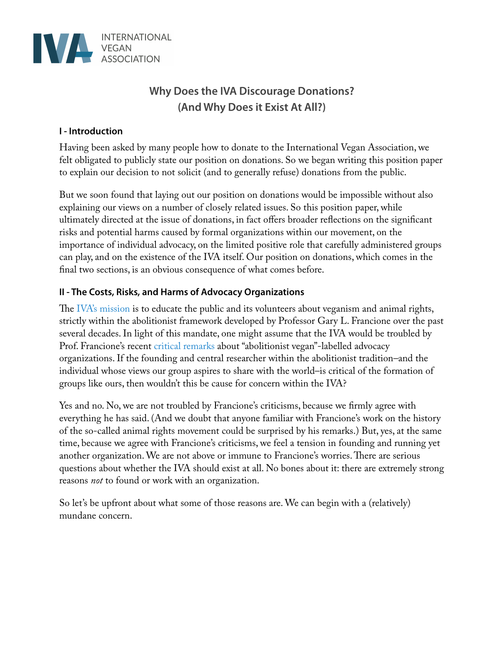

# **Why Does the IVA Discourage Donations? (And Why Does it Exist At All?)**

## **I - Introduction**

Having been asked by many people how to donate to the International Vegan Association, we felt obligated to publicly state our position on donations. So we began writing this position paper to explain our decision to not solicit (and to generally refuse) donations from the public.

But we soon found that laying out our position on donations would be impossible without also explaining our views on a number of closely related issues. So this position paper, while ultimately directed at the issue of donations, in fact offers broader refections on the signifcant risks and potential harms caused by formal organizations within our movement, on the importance of individual advocacy, on the limited positive role that carefully administered groups can play, and on the existence of the IVA itself. Our position on donations, which comes in the fnal two sections, is an obvious consequence of what comes before.

### **II - The Costs, Risks, and Harms of Advocacy Organizations**

The [IVA's mission](http://www.internationalvegan.org/about/) is to educate the public and its volunteers about veganism and animal rights, strictly within the abolitionist framework developed by Professor Gary L. Francione over the past several decades. In light of this mandate, one might assume that the IVA would be troubled by Prof. Francione's recent [critical remarks](http://www.abolitionistapproach.com/statement-abolitionist-abolitionist-vegan-groups/) about "abolitionist vegan"-labelled advocacy organizations. If the founding and central researcher within the abolitionist tradition–and the individual whose views our group aspires to share with the world–is critical of the formation of groups like ours, then wouldn't this be cause for concern within the IVA?

Yes and no. No, we are not troubled by Francione's criticisms, because we frmly agree with everything he has said. (And we doubt that anyone familiar with Francione's work on the history of the so-called animal rights movement could be surprised by his remarks.) But, yes, at the same time, because we agree with Francione's criticisms, we feel a tension in founding and running yet another organization. We are not above or immune to Francione's worries. There are serious questions about whether the IVA should exist at all. No bones about it: there are extremely strong reasons *not* to found or work with an organization.

So let's be upfront about what some of those reasons are. We can begin with a (relatively) mundane concern.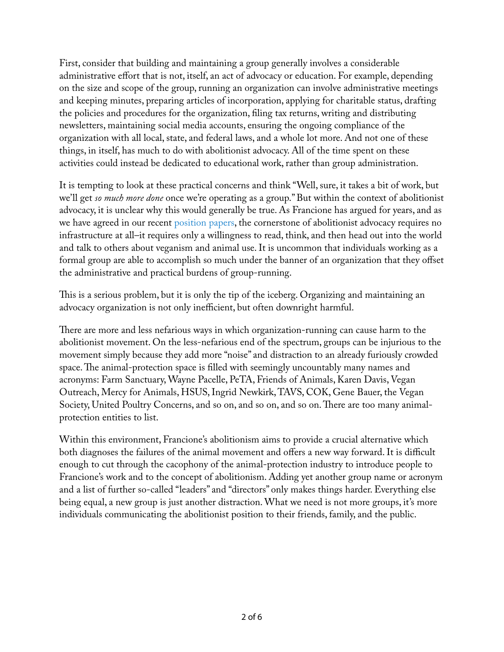First, consider that building and maintaining a group generally involves a considerable administrative effort that is not, itself, an act of advocacy or education. For example, depending on the size and scope of the group, running an organization can involve administrative meetings and keeping minutes, preparing articles of incorporation, applying for charitable status, drafting the policies and procedures for the organization, fling tax returns, writing and distributing newsletters, maintaining social media accounts, ensuring the ongoing compliance of the organization with all local, state, and federal laws, and a whole lot more. And not one of these things, in itself, has much to do with abolitionist advocacy. All of the time spent on these activities could instead be dedicated to educational work, rather than group administration.

It is tempting to look at these practical concerns and think "Well, sure, it takes a bit of work, but we'll get *so much more done* once we're operating as a group." But within the context of abolitionist advocacy, it is unclear why this would generally be true. As Francione has argued for years, and as we have agreed in our recent [position papers,](http://www.internationalvegan.org/resources/position-papers/) the cornerstone of abolitionist advocacy requires no infrastructure at all–it requires only a willingness to read, think, and then head out into the world and talk to others about veganism and animal use. It is uncommon that individuals working as a formal group are able to accomplish so much under the banner of an organization that they offset the administrative and practical burdens of group-running.

This is a serious problem, but it is only the tip of the iceberg. Organizing and maintaining an advocacy organization is not only inefficient, but often downright harmful.

There are more and less nefarious ways in which organization-running can cause harm to the abolitionist movement. On the less-nefarious end of the spectrum, groups can be injurious to the movement simply because they add more "noise" and distraction to an already furiously crowded space. The animal-protection space is filled with seemingly uncountably many names and acronyms: Farm Sanctuary, Wayne Pacelle, PeTA, Friends of Animals, Karen Davis, Vegan Outreach, Mercy for Animals, HSUS, Ingrid Newkirk, TAVS, COK, Gene Bauer, the Vegan Society, United Poultry Concerns, and so on, and so on, and so on. There are too many animalprotection entities to list.

Within this environment, Francione's abolitionism aims to provide a crucial alternative which both diagnoses the failures of the animal movement and offers a new way forward. It is difficult enough to cut through the cacophony of the animal-protection industry to introduce people to Francione's work and to the concept of abolitionism. Adding yet another group name or acronym and a list of further so-called "leaders" and "directors" only makes things harder. Everything else being equal, a new group is just another distraction. What we need is not more groups, it's more individuals communicating the abolitionist position to their friends, family, and the public.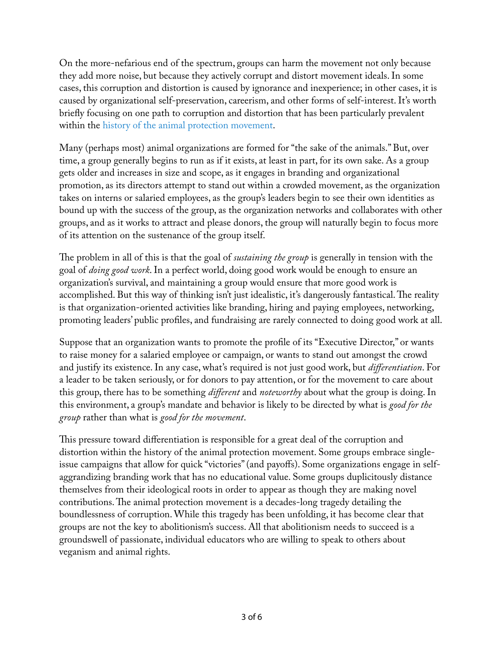On the more-nefarious end of the spectrum, groups can harm the movement not only because they add more noise, but because they actively corrupt and distort movement ideals. In some cases, this corruption and distortion is caused by ignorance and inexperience; in other cases, it is caused by organizational self-preservation, careerism, and other forms of self-interest. It's worth briefy focusing on one path to corruption and distortion that has been particularly prevalent within the [history of the animal protection movement.](http://www.temple.edu/tempress/titles/1299_reg.html)

Many (perhaps most) animal organizations are formed for "the sake of the animals." But, over time, a group generally begins to run as if it exists, at least in part, for its own sake. As a group gets older and increases in size and scope, as it engages in branding and organizational promotion, as its directors attempt to stand out within a crowded movement, as the organization takes on interns or salaried employees, as the group's leaders begin to see their own identities as bound up with the success of the group, as the organization networks and collaborates with other groups, and as it works to attract and please donors, the group will naturally begin to focus more of its attention on the sustenance of the group itself.

The problem in all of this is that the goal of *sustaining the group* is generally in tension with the goal of *doing good work*. In a perfect world, doing good work would be enough to ensure an organization's survival, and maintaining a group would ensure that more good work is accomplished. But this way of thinking isn't just idealistic, it's dangerously fantastical. The reality is that organization-oriented activities like branding, hiring and paying employees, networking, promoting leaders' public profles, and fundraising are rarely connected to doing good work at all.

Suppose that an organization wants to promote the profle of its "Executive Director," or wants to raise money for a salaried employee or campaign, or wants to stand out amongst the crowd and justify its existence. In any case, what's required is not just good work, but *differentiation*. For a leader to be taken seriously, or for donors to pay attention, or for the movement to care about this group, there has to be something *different* and *noteworthy* about what the group is doing. In this environment, a group's mandate and behavior is likely to be directed by what is *good for the group* rather than what is *good for the movement*.

This pressure toward differentiation is responsible for a great deal of the corruption and distortion within the history of the animal protection movement. Some groups embrace singleissue campaigns that allow for quick "victories" (and payoffs). Some organizations engage in selfaggrandizing branding work that has no educational value. Some groups duplicitously distance themselves from their ideological roots in order to appear as though they are making novel contributions. The animal protection movement is a decades-long tragedy detailing the boundlessness of corruption. While this tragedy has been unfolding, it has become clear that groups are not the key to abolitionism's success. All that abolitionism needs to succeed is a groundswell of passionate, individual educators who are willing to speak to others about veganism and animal rights.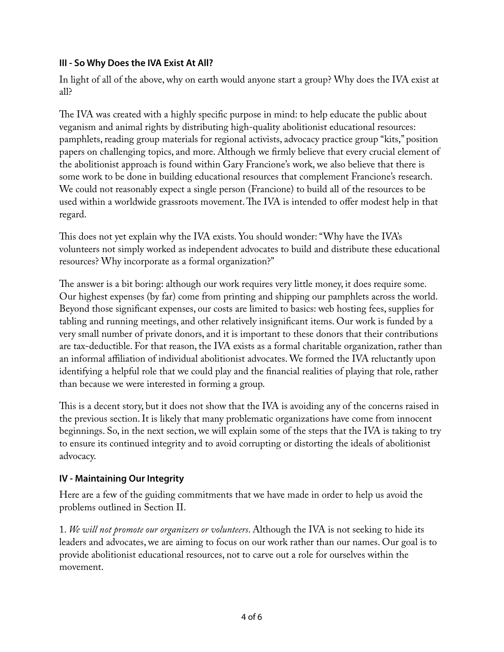# **III - So Why Does the IVA Exist At All?**

In light of all of the above, why on earth would anyone start a group? Why does the IVA exist at all?

The IVA was created with a highly specific purpose in mind: to help educate the public about veganism and animal rights by distributing high-quality abolitionist educational resources: pamphlets, reading group materials for regional activists, advocacy practice group "kits," position papers on challenging topics, and more. Although we frmly believe that every crucial element of the abolitionist approach is found within Gary Francione's work, we also believe that there is some work to be done in building educational resources that complement Francione's research. We could not reasonably expect a single person (Francione) to build all of the resources to be used within a worldwide grassroots movement. The IVA is intended to offer modest help in that regard.

Tis does not yet explain why the IVA exists. You should wonder: "Why have the IVA's volunteers not simply worked as independent advocates to build and distribute these educational resources? Why incorporate as a formal organization?"

The answer is a bit boring: although our work requires very little money, it does require some. Our highest expenses (by far) come from printing and shipping our pamphlets across the world. Beyond those signifcant expenses, our costs are limited to basics: web hosting fees, supplies for tabling and running meetings, and other relatively insignifcant items. Our work is funded by a very small number of private donors, and it is important to these donors that their contributions are tax-deductible. For that reason, the IVA exists as a formal charitable organization, rather than an informal affiliation of individual abolitionist advocates. We formed the IVA reluctantly upon identifying a helpful role that we could play and the fnancial realities of playing that role, rather than because we were interested in forming a group.

This is a decent story, but it does not show that the IVA is avoiding any of the concerns raised in the previous section. It is likely that many problematic organizations have come from innocent beginnings. So, in the next section, we will explain some of the steps that the IVA is taking to try to ensure its continued integrity and to avoid corrupting or distorting the ideals of abolitionist advocacy.

## **IV - Maintaining Our Integrity**

Here are a few of the guiding commitments that we have made in order to help us avoid the problems outlined in Section II.

1. *We will not promote our organizers or volunteers*. Although the IVA is not seeking to hide its leaders and advocates, we are aiming to focus on our work rather than our names. Our goal is to provide abolitionist educational resources, not to carve out a role for ourselves within the movement.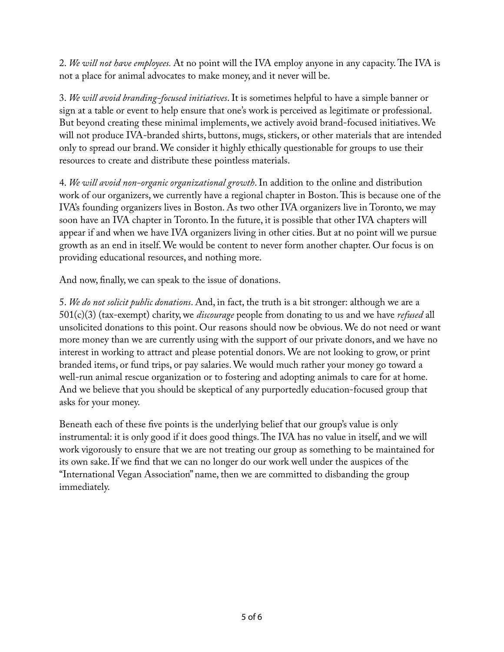2. We will not have employees. At no point will the IVA employ anyone in any capacity. The IVA is not a place for animal advocates to make money, and it never will be.

3. *We will avoid branding-focused initiatives*. It is sometimes helpful to have a simple banner or sign at a table or event to help ensure that one's work is perceived as legitimate or professional. But beyond creating these minimal implements, we actively avoid brand-focused initiatives. We will not produce IVA-branded shirts, buttons, mugs, stickers, or other materials that are intended only to spread our brand. We consider it highly ethically questionable for groups to use their resources to create and distribute these pointless materials.

4. *We will avoid non-organic organizational growth*. In addition to the online and distribution work of our organizers, we currently have a regional chapter in Boston. This is because one of the IVA's founding organizers lives in Boston. As two other IVA organizers live in Toronto, we may soon have an IVA chapter in Toronto. In the future, it is possible that other IVA chapters will appear if and when we have IVA organizers living in other cities. But at no point will we pursue growth as an end in itself. We would be content to never form another chapter. Our focus is on providing educational resources, and nothing more.

And now, fnally, we can speak to the issue of donations.

5. *We do not solicit public donations*. And, in fact, the truth is a bit stronger: although we are a 501(c)(3) (tax-exempt) charity, we *discourage* people from donating to us and we have *refused* all unsolicited donations to this point. Our reasons should now be obvious. We do not need or want more money than we are currently using with the support of our private donors, and we have no interest in working to attract and please potential donors. We are not looking to grow, or print branded items, or fund trips, or pay salaries. We would much rather your money go toward a well-run animal rescue organization or to fostering and adopting animals to care for at home. And we believe that you should be skeptical of any purportedly education-focused group that asks for your money.

Beneath each of these fve points is the underlying belief that our group's value is only instrumental: it is only good if it does good things. The IVA has no value in itself, and we will work vigorously to ensure that we are not treating our group as something to be maintained for its own sake. If we fnd that we can no longer do our work well under the auspices of the "International Vegan Association" name, then we are committed to disbanding the group immediately.